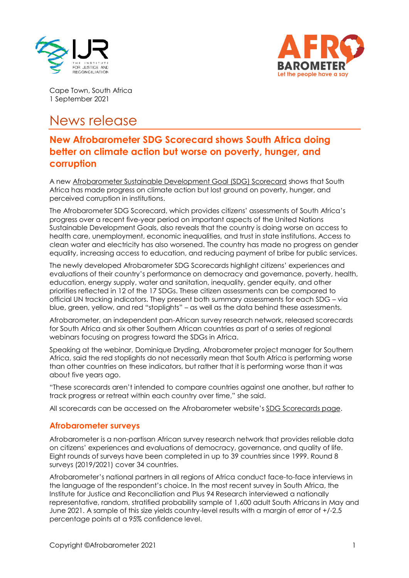



Cape Town, South Africa 1 September 2021

## News release

## **New Afrobarometer SDG Scorecard shows South Africa doing better on climate action but worse on poverty, hunger, and corruption**

A new [Afrobarometer Sustainable Development Goal \(SDG\) Scorecard](https://afrobarometer.org/publications/namibia-sdg-scorecard) shows that South Africa has made progress on climate action but lost ground on poverty, hunger, and perceived corruption in institutions.

The Afrobarometer SDG Scorecard, which provides citizens' assessments of South Africa's progress over a recent five-year period on important aspects of the United Nations Sustainable Development Goals, also reveals that the country is doing worse on access to health care, unemployment, economic inequalities, and trust in state institutions. Access to clean water and electricity has also worsened. The country has made no progress on gender equality, increasing access to education, and reducing payment of bribe for public services.

The newly developed Afrobarometer SDG Scorecards highlight citizens' experiences and evaluations of their country's performance on democracy and governance, poverty, health, education, energy supply, water and sanitation, inequality, gender equity, and other priorities reflected in 12 of the 17 SDGs. These citizen assessments can be compared to official UN tracking indicators. They present both summary assessments for each SDG – via blue, green, yellow, and red "stoplights" – as well as the data behind these assessments.

Afrobarometer, an independent pan-African survey research network, released scorecards for South Africa and six other Southern African countries as part of a series of regional webinars focusing on progress toward the SDGs in Africa.

Speaking at the webinar, Dominique Dryding, Afrobarometer project manager for Southern Africa, said the red stoplights do not necessarily mean that South Africa is performing worse than other countries on these indicators, but rather that it is performing worse than it was about five years ago.

"These scorecards aren't intended to compare countries against one another, but rather to track progress or retreat within each country over time," she said.

All scorecards can be accessed on the Afrobarometer website's [SDG Scorecards page.](https://afrobarometer.org/sdg)

## **Afrobarometer surveys**

Afrobarometer is a non-partisan African survey research network that provides reliable data on citizens' experiences and evaluations of democracy, governance, and quality of life. Eight rounds of surveys have been completed in up to 39 countries since 1999. Round 8 surveys (2019/2021) cover 34 countries.

Afrobarometer's national partners in all regions of Africa conduct face-to-face interviews in the language of the respondent's choice. In the most recent survey in South Africa, the Institute for Justice and Reconciliation and Plus 94 Research interviewed a nationally representative, random, stratified probability sample of 1,600 adult South Africans in May and June 2021. A sample of this size yields country-level results with a margin of error of +/-2.5 percentage points at a 95% confidence level.